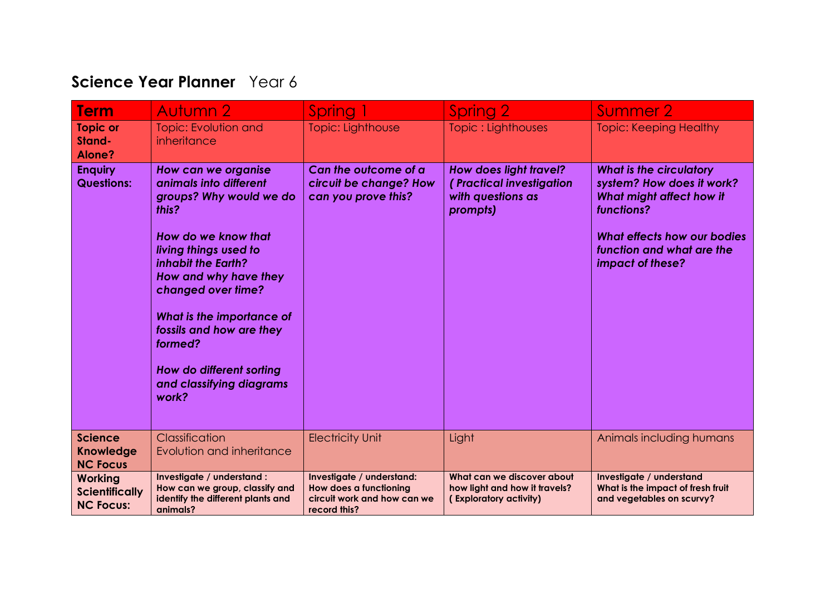## **Science Year Planner** Year 6

| <b>Term</b>                                                 | Autumn 2                                                                                                                                                                                                                                                                                                                                    | Spring 1                                                                                           | Spring 2                                                                              | Summer 2                                                                                                                                                                              |
|-------------------------------------------------------------|---------------------------------------------------------------------------------------------------------------------------------------------------------------------------------------------------------------------------------------------------------------------------------------------------------------------------------------------|----------------------------------------------------------------------------------------------------|---------------------------------------------------------------------------------------|---------------------------------------------------------------------------------------------------------------------------------------------------------------------------------------|
| <b>Topic or</b><br>Stand-<br>Alone?                         | <b>Topic: Evolution and</b><br>inheritance                                                                                                                                                                                                                                                                                                  | Topic: Lighthouse                                                                                  | Topic: Lighthouses                                                                    | <b>Topic: Keeping Healthy</b>                                                                                                                                                         |
| <b>Enquiry</b><br><b>Questions:</b>                         | How can we organise<br>animals into different<br>groups? Why would we do<br>this?<br>How do we know that<br>living things used to<br>inhabit the Earth?<br>How and why have they<br>changed over time?<br>What is the importance of<br>fossils and how are they<br>formed?<br>How do different sorting<br>and classifying diagrams<br>work? | Can the outcome of a<br>circuit be change? How<br>can you prove this?                              | How does light travel?<br>(Practical investigation<br>with questions as<br>prompts)   | <b>What is the circulatory</b><br>system? How does it work?<br>What might affect how it<br>functions?<br>What effects how our bodies<br>function and what are the<br>impact of these? |
| <b>Science</b><br><b>Knowledge</b><br><b>NC Focus</b>       | Classification<br>Evolution and inheritance                                                                                                                                                                                                                                                                                                 | <b>Electricity Unit</b>                                                                            | Light                                                                                 | Animals including humans                                                                                                                                                              |
| <b>Working</b><br><b>Scientifically</b><br><b>NC Focus:</b> | Investigate / understand :<br>How can we group, classify and<br>identify the different plants and<br>animals?                                                                                                                                                                                                                               | Investigate / understand:<br>How does a functioning<br>circuit work and how can we<br>record this? | What can we discover about<br>how light and how it travels?<br>(Exploratory activity) | Investigate / understand<br>What is the impact of fresh fruit<br>and vegetables on scurvy?                                                                                            |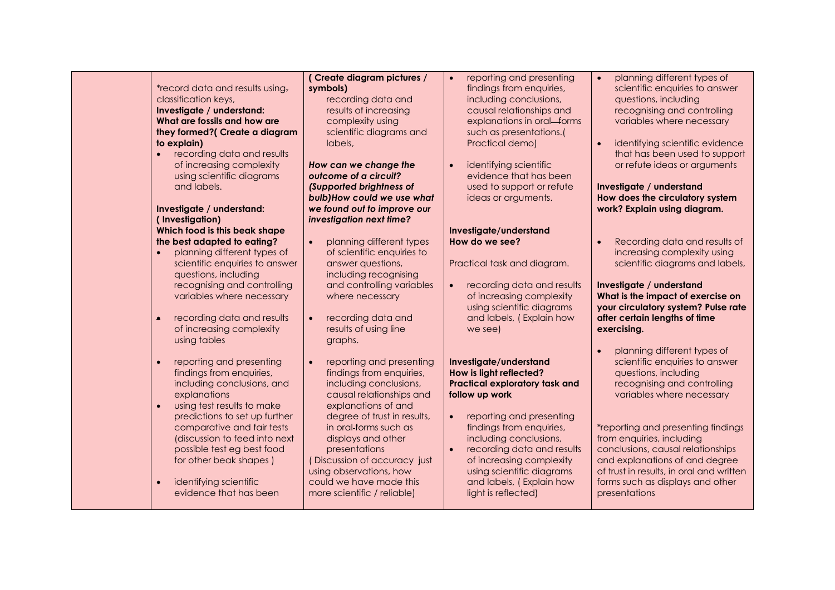| *record data and results using,<br>classification keys,<br>Investigate / understand:<br>What are fossils and how are<br>they formed?( Create a diagram<br>to explain)<br>recording data and results<br>of increasing complexity<br>using scientific diagrams<br>and labels.                                                                                                                                                                                                                               | (Create diagram pictures /<br>symbols)<br>recording data and<br>results of increasing<br>complexity using<br>scientific diagrams and<br>labels,<br>How can we change the<br>outcome of a circuit?<br>(Supported brightness of<br>bulb) How could we use what                                                                                                                                                                                          | reporting and presenting<br>$\bullet$<br>findings from enquiries,<br>including conclusions,<br>causal relationships and<br>explanations in oral-forms<br>such as presentations.(<br>Practical demo)<br>identifying scientific<br>$\bullet$<br>evidence that has been<br>used to support or refute<br>ideas or arguments. | planning different types of<br>$\bullet$<br>scientific enquiries to answer<br>questions, including<br>recognising and controlling<br>variables where necessary<br>identifying scientific evidence<br>that has been used to support<br>or refute ideas or arguments<br>Investigate / understand<br>How does the circulatory system                                                                                                                                      |
|-----------------------------------------------------------------------------------------------------------------------------------------------------------------------------------------------------------------------------------------------------------------------------------------------------------------------------------------------------------------------------------------------------------------------------------------------------------------------------------------------------------|-------------------------------------------------------------------------------------------------------------------------------------------------------------------------------------------------------------------------------------------------------------------------------------------------------------------------------------------------------------------------------------------------------------------------------------------------------|--------------------------------------------------------------------------------------------------------------------------------------------------------------------------------------------------------------------------------------------------------------------------------------------------------------------------|------------------------------------------------------------------------------------------------------------------------------------------------------------------------------------------------------------------------------------------------------------------------------------------------------------------------------------------------------------------------------------------------------------------------------------------------------------------------|
| Investigate / understand:<br>(Investigation)<br>Which food is this beak shape<br>the best adapted to eating?<br>planning different types of<br>scientific enquiries to answer<br>questions, including<br>recognising and controlling<br>variables where necessary<br>recording data and results<br>$\bullet$<br>of increasing complexity<br>using tables<br>reporting and presenting<br>findings from enquiries,<br>including conclusions, and<br>explanations<br>using test results to make<br>$\bullet$ | we found out to improve our<br>investigation next time?<br>$\bullet$<br>planning different types<br>of scientific enquiries to<br>answer questions,<br>including recognising<br>and controlling variables<br>where necessary<br>recording data and<br>$\bullet$<br>results of using line<br>graphs.<br>reporting and presenting<br>$\bullet$<br>findings from enquiries,<br>including conclusions,<br>causal relationships and<br>explanations of and | Investigate/understand<br>How do we see?<br>Practical task and diagram.<br>recording data and results<br>of increasing complexity<br>using scientific diagrams<br>and labels, (Explain how<br>we see)<br>Investigate/understand<br>How is light reflected?<br><b>Practical exploratory task and</b><br>follow up work    | work? Explain using diagram.<br>Recording data and results of<br>$\bullet$<br>increasing complexity using<br>scientific diagrams and labels,<br>Investigate / understand<br>What is the impact of exercise on<br>your circulatory system? Pulse rate<br>after certain lengths of time<br>exercising.<br>planning different types of<br>$\bullet$<br>scientific enquiries to answer<br>questions, including<br>recognising and controlling<br>variables where necessary |
| predictions to set up further<br>comparative and fair tests<br>(discussion to feed into next<br>possible test eg best food<br>for other beak shapes)<br>identifying scientific<br>evidence that has been                                                                                                                                                                                                                                                                                                  | degree of trust in results,<br>in oral-forms such as<br>displays and other<br>presentations<br>(Discussion of accuracy just<br>using observations, how<br>could we have made this<br>more scientific / reliable)                                                                                                                                                                                                                                      | reporting and presenting<br>$\bullet$<br>findings from enquiries,<br>including conclusions,<br>recording data and results<br>$\bullet$<br>of increasing complexity<br>using scientific diagrams<br>and labels, (Explain how<br>light is reflected)                                                                       | *reporting and presenting findings<br>from enquiries, including<br>conclusions, causal relationships<br>and explanations of and degree<br>of trust in results, in oral and written<br>forms such as displays and other<br>presentations                                                                                                                                                                                                                                |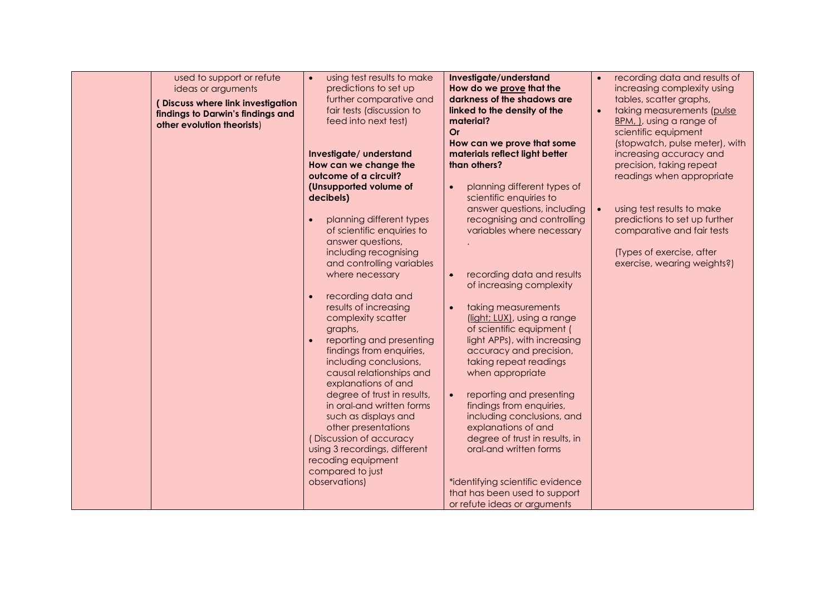| used to support or refute<br>ideas or arguments                                                      | using test results to make<br>$\bullet$<br>predictions to set up                                                                  | Investigate/understand<br>How do we prove that the                                                          | recording data and results of<br>increasing complexity using                                                       |
|------------------------------------------------------------------------------------------------------|-----------------------------------------------------------------------------------------------------------------------------------|-------------------------------------------------------------------------------------------------------------|--------------------------------------------------------------------------------------------------------------------|
| (Discuss where link investigation<br>findings to Darwin's findings and<br>other evolution theorists) | further comparative and<br>fair tests (discussion to<br>feed into next test)                                                      | darkness of the shadows are<br>linked to the density of the<br>material?<br>Or                              | tables, scatter graphs,<br>taking measurements (pulse<br>BPM, I, using a range of<br>scientific equipment          |
|                                                                                                      | Investigate/ understand<br>How can we change the<br>outcome of a circuit?                                                         | How can we prove that some<br>materials reflect light better<br>than others?                                | (stopwatch, pulse meter), with<br>increasing accuracy and<br>precision, taking repeat<br>readings when appropriate |
|                                                                                                      | (Unsupported volume of<br>decibels)                                                                                               | planning different types of<br>scientific enquiries to<br>answer questions, including                       | using test results to make                                                                                         |
|                                                                                                      | planning different types<br>of scientific enquiries to<br>answer questions,                                                       | recognising and controlling<br>variables where necessary                                                    | predictions to set up further<br>comparative and fair tests                                                        |
|                                                                                                      | including recognising<br>and controlling variables<br>where necessary                                                             | recording data and results                                                                                  | (Types of exercise, after<br>exercise, wearing weights?)                                                           |
|                                                                                                      | recording data and<br>results of increasing<br>complexity scatter<br>graphs,                                                      | of increasing complexity<br>taking measurements<br>(light; LUX), using a range<br>of scientific equipment ( |                                                                                                                    |
|                                                                                                      | reporting and presenting<br>findings from enquiries,<br>including conclusions,<br>causal relationships and<br>explanations of and | light APPs), with increasing<br>accuracy and precision,<br>taking repeat readings<br>when appropriate       |                                                                                                                    |
|                                                                                                      | degree of trust in results,<br>in oral-and written forms<br>such as displays and<br>other presentations                           | reporting and presenting<br>findings from enquiries,<br>including conclusions, and<br>explanations of and   |                                                                                                                    |
|                                                                                                      | (Discussion of accuracy<br>using 3 recordings, different<br>recoding equipment<br>compared to just                                | degree of trust in results, in<br>oral-and written forms                                                    |                                                                                                                    |
|                                                                                                      | observations)                                                                                                                     | *identifying scientific evidence<br>that has been used to support<br>or refute ideas or arguments           |                                                                                                                    |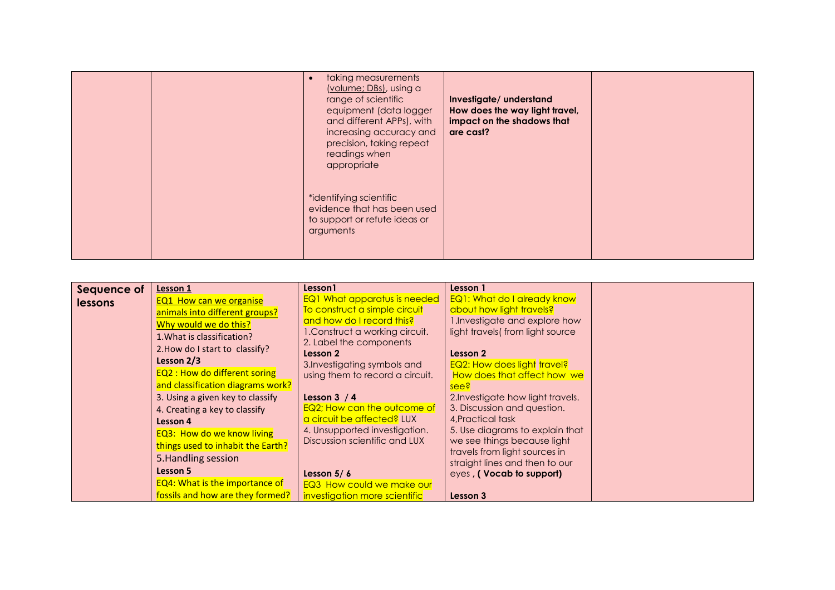|  | taking measurements<br>(volume; DBs), using a<br>range of scientific<br>equipment (data logger<br>and different APPs), with<br>increasing accuracy and<br>precision, taking repeat<br>readings when<br>appropriate | Investigate/ understand<br>How does the way light travel,<br>impact on the shadows that<br>are cast? |  |
|--|--------------------------------------------------------------------------------------------------------------------------------------------------------------------------------------------------------------------|------------------------------------------------------------------------------------------------------|--|
|  | *identifying scientific<br>evidence that has been used<br>to support or refute ideas or<br>arguments                                                                                                               |                                                                                                      |  |

| Sequence of    | Lesson 1                              | Lesson1                                                         | Lesson 1                                       |  |
|----------------|---------------------------------------|-----------------------------------------------------------------|------------------------------------------------|--|
| <b>lessons</b> | <b>EQ1 How can we organise</b>        | <b>EQ1 What apparatus is needed</b>                             | <b>EQ1: What do I already know</b>             |  |
|                | animals into different groups?        | To construct a simple circuit                                   | about how light travels?                       |  |
|                | Why would we do this?                 | and how do I record this?                                       | 1. Investigate and explore how                 |  |
|                | 1. What is classification?            | 1. Construct a working circuit.                                 | light travels (from light source               |  |
|                | 2. How do I start to classify?        | 2. Label the components                                         |                                                |  |
|                | Lesson 2/3                            | Lesson 2                                                        | Lesson 2<br><b>EQ2: How does light travel?</b> |  |
|                | <b>EQ2: How do different soring</b>   | 3. Investigating symbols and<br>using them to record a circuit. | How does that affect how we                    |  |
|                | and classification diagrams work?     |                                                                 | see?                                           |  |
|                | 3. Using a given key to classify      | Lesson $3/4$                                                    | 2. Investigate how light travels.              |  |
|                | 4. Creating a key to classify         | EQ2; How can the outcome of                                     | 3. Discussion and question.                    |  |
|                | Lesson 4                              | a circuit be affected? LUX                                      | 4, Practical task                              |  |
|                | <b>EQ3: How do we know living</b>     | 4. Unsupported investigation.                                   | 5. Use diagrams to explain that                |  |
|                | things used to inhabit the Earth?     | Discussion scientific and LUX                                   | we see things because light                    |  |
|                |                                       |                                                                 | travels from light sources in                  |  |
|                | 5. Handling session                   |                                                                 | straight lines and then to our                 |  |
|                | Lesson 5                              | Lesson $5/6$                                                    | eyes, (Vocab to support)                       |  |
|                | <b>EQ4: What is the importance of</b> | EQ3 How could we make our                                       |                                                |  |
|                | fossils and how are they formed?      | investigation more scientific                                   | Lesson 3                                       |  |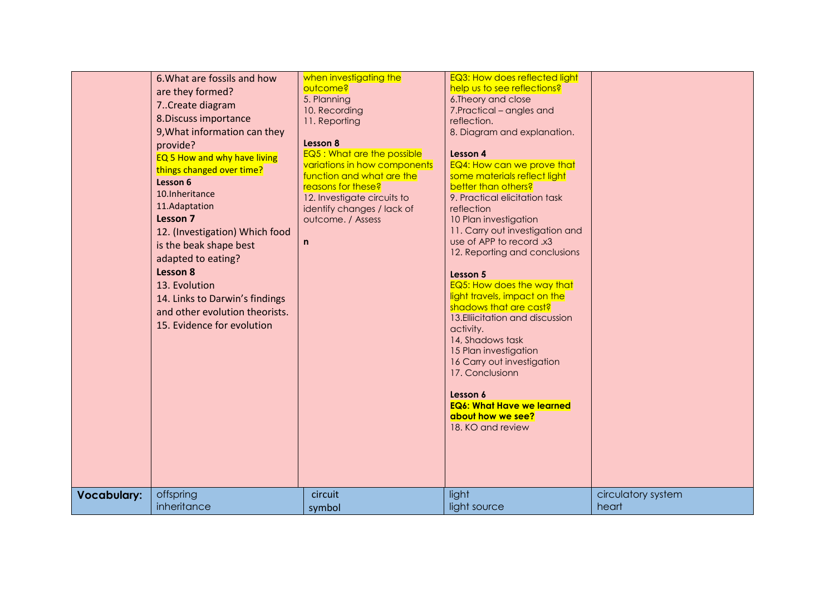| <b>Vocabulary:</b> | 6. What are fossils and how<br>are they formed?<br>7. Create diagram<br>8. Discuss importance<br>9, What information can they<br>provide?<br>EQ 5 How and why have living<br>things changed over time?<br>Lesson 6<br>10. Inheritance<br>11.Adaptation<br>Lesson 7<br>12. (Investigation) Which food<br>is the beak shape best<br>adapted to eating?<br>Lesson 8<br>13. Evolution<br>14. Links to Darwin's findings<br>and other evolution theorists.<br>15. Evidence for evolution<br>offspring | when investigating the<br>outcome?<br>5. Planning<br>10. Recording<br>11. Reporting<br>Lesson 8<br>EQ5 : What are the possible<br>variations in how components<br>function and what are the<br>reasons for these?<br>12. Investigate circuits to<br>identify changes / lack of<br>outcome. / Assess<br>$\mathsf{n}$<br>circuit | EQ3: How does reflected light<br>help us to see reflections?<br>6. Theory and close<br>7. Practical - angles and<br>reflection.<br>8. Diagram and explanation.<br>Lesson 4<br>EQ4: How can we prove that<br>some materials reflect light<br>better than others?<br>9. Practical elicitation task<br>reflection<br>10 Plan investigation<br>11. Carry out investigation and<br>use of APP to record .x3<br>12. Reporting and conclusions<br>Lesson 5<br>EQ5: How does the way that<br>light travels, impact on the<br>shadows that are cast?<br>13. Elliicitation and discussion<br>activity.<br>14, Shadows task<br>15 Plan investigation<br>16 Carry out investigation<br>17. Conclusionn<br>Lesson 6<br><b>EQ6: What Have we learned</b><br>about how we see?<br>18. KO and review<br>light | circulatory system |
|--------------------|--------------------------------------------------------------------------------------------------------------------------------------------------------------------------------------------------------------------------------------------------------------------------------------------------------------------------------------------------------------------------------------------------------------------------------------------------------------------------------------------------|--------------------------------------------------------------------------------------------------------------------------------------------------------------------------------------------------------------------------------------------------------------------------------------------------------------------------------|-----------------------------------------------------------------------------------------------------------------------------------------------------------------------------------------------------------------------------------------------------------------------------------------------------------------------------------------------------------------------------------------------------------------------------------------------------------------------------------------------------------------------------------------------------------------------------------------------------------------------------------------------------------------------------------------------------------------------------------------------------------------------------------------------|--------------------|
|                    | inheritance                                                                                                                                                                                                                                                                                                                                                                                                                                                                                      | symbol                                                                                                                                                                                                                                                                                                                         | light source                                                                                                                                                                                                                                                                                                                                                                                                                                                                                                                                                                                                                                                                                                                                                                                  | heart              |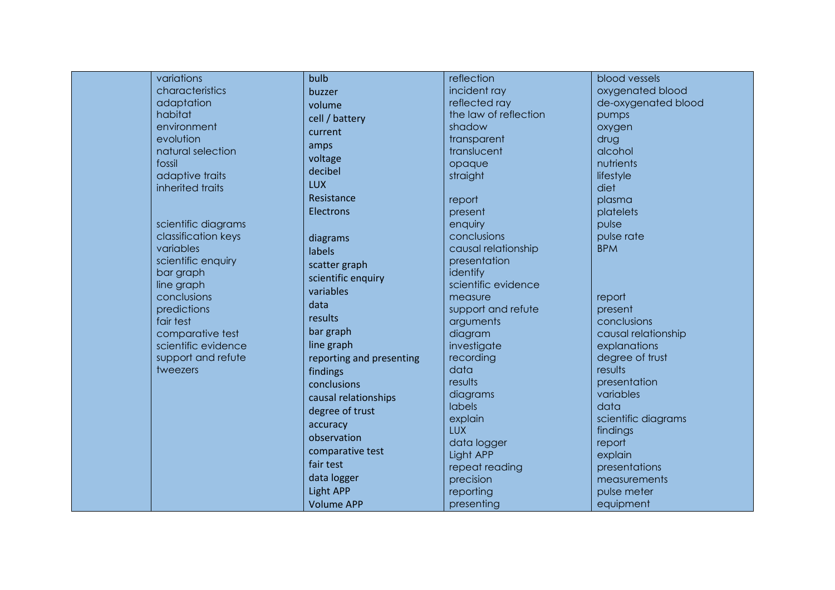| variations          | bulb                     | reflection            | blood vessels       |
|---------------------|--------------------------|-----------------------|---------------------|
| characteristics     | buzzer                   | incident ray          | oxygenated blood    |
| adaptation          | volume                   | reflected ray         | de-oxygenated blood |
| habitat             | cell / battery           | the law of reflection | pumps               |
| environment         | current                  | shadow                | oxygen              |
| evolution           |                          | transparent           | drug                |
| natural selection   | amps                     | translucent           | alcohol             |
| fossil              | voltage                  | opaque                | nutrients           |
| adaptive traits     | decibel                  | straight              | lifestyle           |
| inherited traits    | <b>LUX</b>               |                       | diet                |
|                     | Resistance               | report                | plasma              |
|                     | Electrons                | present               | platelets           |
| scientific diagrams |                          | enquiry               | pulse               |
| classification keys | diagrams                 | conclusions           | pulse rate          |
| variables           | labels                   | causal relationship   | <b>BPM</b>          |
| scientific enquiry  | scatter graph            | presentation          |                     |
| bar graph           | scientific enquiry       | identify              |                     |
| line graph          | variables                | scientific evidence   |                     |
| conclusions         | data                     | measure               | report              |
| predictions         |                          | support and refute    | present             |
| fair test           | results                  | arguments             | conclusions         |
| comparative test    | bar graph                | diagram               | causal relationship |
| scientific evidence | line graph               | investigate           | explanations        |
| support and refute  | reporting and presenting | recording             | degree of trust     |
| tweezers            | findings                 | data                  | results             |
|                     | conclusions              | results               | presentation        |
|                     | causal relationships     | diagrams              | variables           |
|                     | degree of trust          | <b>labels</b>         | data                |
|                     | accuracy                 | explain               | scientific diagrams |
|                     | observation              | <b>LUX</b>            | findings            |
|                     | comparative test         | data logger           | report              |
|                     | fair test                | Light APP             | explain             |
|                     | data logger              | repeat reading        | presentations       |
|                     |                          | precision             | measurements        |
|                     | <b>Light APP</b>         | reporting             | pulse meter         |
|                     | <b>Volume APP</b>        | presenting            | equipment           |